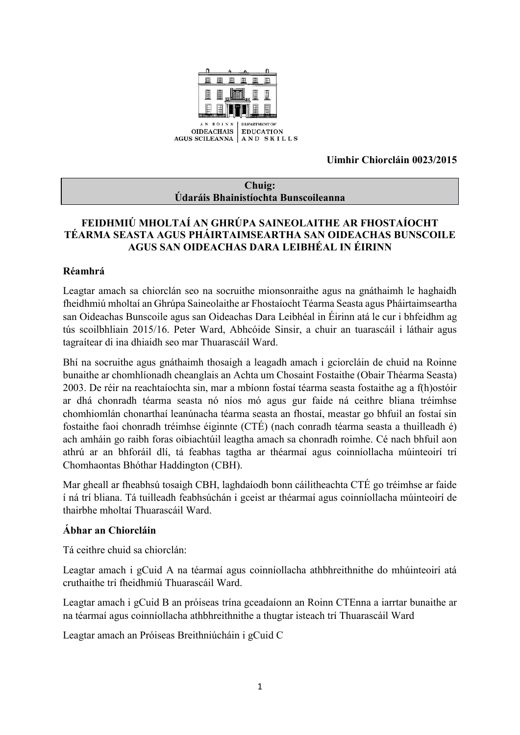

**Uimhir Chiorcláin 0023/2015**

#### **Chuig: Údaráis Bhainistíochta Bunscoileanna**

## **FEIDHMIÚ MHOLTAÍ AN GHRÚPA SAINEOLAITHE AR FHOSTAÍOCHT TÉARMA SEASTA AGUS PHÁIRTAIMSEARTHA SAN OIDEACHAS BUNSCOILE AGUS SAN OIDEACHAS DARA LEIBHÉAL IN ÉIRINN**

## **Réamhrá**

Leagtar amach sa chiorclán seo na socruithe mionsonraithe agus na gnáthaimh le haghaidh fheidhmiú mholtaí an Ghrúpa Saineolaithe ar Fhostaíocht Téarma Seasta agus Pháirtaimseartha san Oideachas Bunscoile agus san Oideachas Dara Leibhéal in Éirinn atá le cur i bhfeidhm ag tús scoilbhliain 2015/16. Peter Ward, Abhcóide Sinsir, a chuir an tuarascáil i láthair agus tagraítear di ina dhiaidh seo mar Thuarascáil Ward.

Bhí na socruithe agus gnáthaimh thosaigh a leagadh amach i gciorcláin de chuid na Roinne bunaithe ar chomhlíonadh cheanglais an Achta um Chosaint Fostaithe (Obair Théarma Seasta) 2003. De réir na reachtaíochta sin, mar a mbíonn fostaí téarma seasta fostaithe ag a f(h)ostóir ar dhá chonradh téarma seasta nó níos mó agus gur faide ná ceithre bliana tréimhse chomhiomlán chonarthaí leanúnacha téarma seasta an fhostaí, meastar go bhfuil an fostaí sin fostaithe faoi chonradh tréimhse éiginnte (CTÉ) (nach conradh téarma seasta a thuilleadh é) ach amháin go raibh foras oibiachtúil leagtha amach sa chonradh roimhe. Cé nach bhfuil aon athrú ar an bhforáil dlí, tá feabhas tagtha ar théarmaí agus coinníollacha múinteoirí trí Chomhaontas Bhóthar Haddington (CBH).

Mar gheall ar fheabhsú tosaigh CBH, laghdaíodh bonn cáilitheachta CTÉ go tréimhse ar faide í ná trí bliana. Tá tuilleadh feabhsúchán i gceist ar théarmaí agus coinníollacha múinteoirí de thairbhe mholtaí Thuarascáil Ward.

# **Ábhar an Chiorcláin**

Tá ceithre chuid sa chiorclán:

Leagtar amach i gCuid A na téarmaí agus coinníollacha athbhreithnithe do mhúinteoirí atá cruthaithe trí fheidhmiú Thuarascáil Ward.

Leagtar amach i gCuid B an próiseas trína gceadaíonn an Roinn CTEnna a iarrtar bunaithe ar na téarmaí agus coinníollacha athbhreithnithe a thugtar isteach trí Thuarascáil Ward

Leagtar amach an Próiseas Breithniúcháin i gCuid C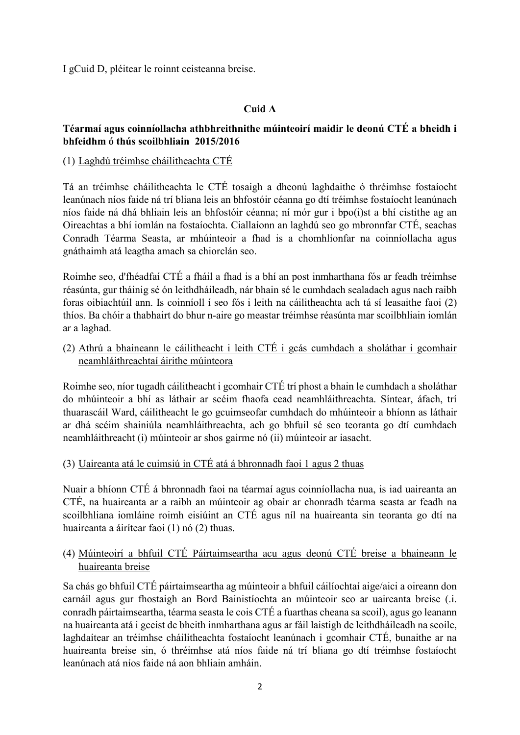I gCuid D, pléitear le roinnt ceisteanna breise.

# **Cuid A**

### **Téarmaí agus coinníollacha athbhreithnithe múinteoirí maidir le deonú CTÉ a bheidh i bhfeidhm ó thús scoilbhliain 2015/2016**

### (1) Laghdú tréimhse cháilitheachta CTÉ

Tá an tréimhse cháilitheachta le CTÉ tosaigh a dheonú laghdaithe ó thréimhse fostaíocht leanúnach níos faide ná trí bliana leis an bhfostóir céanna go dtí tréimhse fostaíocht leanúnach níos faide ná dhá bhliain leis an bhfostóir céanna; ní mór gur i bpo(i)st a bhí cistithe ag an Oireachtas a bhí iomlán na fostaíochta. Ciallaíonn an laghdú seo go mbronnfar CTÉ, seachas Conradh Téarma Seasta, ar mhúinteoir a fhad is a chomhlíonfar na coinníollacha agus gnáthaimh atá leagtha amach sa chiorclán seo.

Roimhe seo, d'fhéadfaí CTÉ a fháil a fhad is a bhí an post inmharthana fós ar feadh tréimhse réasúnta, gur tháinig sé ón leithdháileadh, nár bhain sé le cumhdach sealadach agus nach raibh foras oibiachtúil ann. Is coinníoll í seo fós i leith na cáilitheachta ach tá sí leasaithe faoi (2) thíos. Ba chóir a thabhairt do bhur n-aire go meastar tréimhse réasúnta mar scoilbhliain iomlán ar a laghad.

(2) Athrú a bhaineann le cáilitheacht i leith CTÉ i gcás cumhdach a sholáthar i gcomhair neamhláithreachtaí áirithe múinteora

Roimhe seo, níor tugadh cáilitheacht i gcomhair CTÉ trí phost a bhain le cumhdach a sholáthar do mhúinteoir a bhí as láthair ar scéim fhaofa cead neamhláithreachta. Síntear, áfach, trí thuarascáil Ward, cáilitheacht le go gcuimseofar cumhdach do mhúinteoir a bhíonn as láthair ar dhá scéim shainiúla neamhláithreachta, ach go bhfuil sé seo teoranta go dtí cumhdach neamhláithreacht (i) múinteoir ar shos gairme nó (ii) múinteoir ar iasacht.

### (3) Uaireanta atá le cuimsiú in CTÉ atá á bhronnadh faoi 1 agus 2 thuas

Nuair a bhíonn CTÉ á bhronnadh faoi na téarmaí agus coinníollacha nua, is iad uaireanta an CTÉ, na huaireanta ar a raibh an múinteoir ag obair ar chonradh téarma seasta ar feadh na scoilbhliana iomláine roimh eisiúint an CTÉ agus níl na huaireanta sin teoranta go dtí na huaireanta a áirítear faoi (1) nó (2) thuas.

## (4) Múinteoirí a bhfuil CTÉ Páirtaimseartha acu agus deonú CTÉ breise a bhaineann le huaireanta breise

Sa chás go bhfuil CTÉ páirtaimseartha ag múinteoir a bhfuil cáilíochtaí aige/aici a oireann don earnáil agus gur fhostaigh an Bord Bainistíochta an múinteoir seo ar uaireanta breise (.i. conradh páirtaimseartha, téarma seasta le cois CTÉ a fuarthas cheana sa scoil), agus go leanann na huaireanta atá i gceist de bheith inmharthana agus ar fáil laistigh de leithdháileadh na scoile, laghdaítear an tréimhse cháilitheachta fostaíocht leanúnach i gcomhair CTÉ, bunaithe ar na huaireanta breise sin, ó thréimhse atá níos faide ná trí bliana go dtí tréimhse fostaíocht leanúnach atá níos faide ná aon bhliain amháin.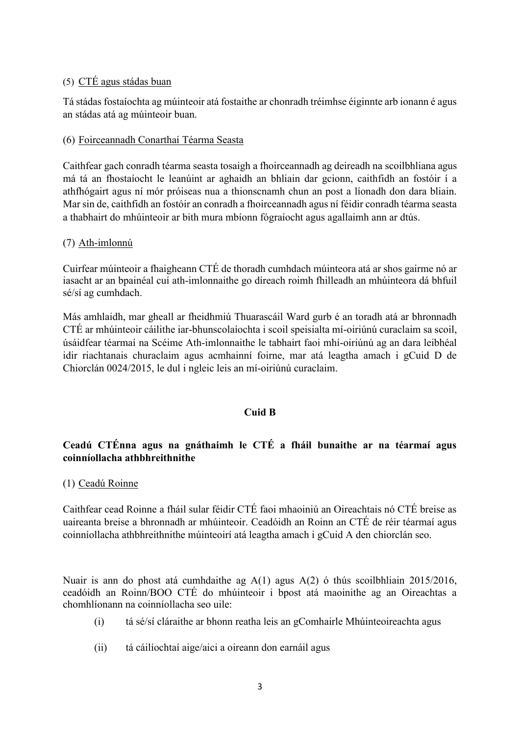#### (5) CTÉ agus stádas buan

Tá stádas fostaíochta ag múinteoir atá fostaithe ar chonradh tréimhse éiginnte arb ionann é agus an stádas atá ag múinteoir buan.

#### (6) Foirceannadh Conarthaí Téarma Seasta

Caithfear gach conradh téarma seasta tosaigh a fhoirceannadh ag deireadh na scoilbhliana agus má tá an fhostaíocht le leanúint ar aghaidh an bhliain dar gcionn, caithfidh an fostóir í a athfhógairt agus ní mór próiseas nua a thionscnamh chun an post a líonadh don dara bliain. Mar sin de, caithfidh an fostóir an conradh a fhoirceannadh agus ní féidir conradh téarma seasta a thabhairt do mhúinteoir ar bith mura mbíonn fógraíocht agus agallaimh ann ar dtús.

#### (7) Ath-imlonnú

Cuirfear múinteoir a fhaigheann CTÉ de thoradh cumhdach múinteora atá ar shos gairme nó ar iasacht ar an bpainéal cuí ath-imlonnaithe go díreach roimh fhilleadh an mhúinteora dá bhfuil sé/sí ag cumhdach.

Más amhlaidh, mar gheall ar fheidhmiú Thuarascáil Ward gurb é an toradh atá ar bhronnadh CTÉ ar mhúinteoir cáilithe iar-bhunscolaíochta i scoil speisialta mí-oiriúnú curaclaim sa scoil, úsáidfear téarmaí na Scéime Ath-imlonnaithe le tabhairt faoi mhí-oiriúnú ag an dara leibhéal idir riachtanais churaclaim agus acmhainní foirne, mar atá leagtha amach i gCuid D de Chiorclán 0024/2015, le dul i ngleic leis an mí-oiriúnú curaclaim.

#### **Cuid B**

# **Ceadú CTÉnna agus na gnáthaimh le CTÉ a fháil bunaithe ar na téarmaí agus coinníollacha athbhreithnithe**

#### (1) Ceadú Roinne

Caithfear cead Roinne a fháil sular féidir CTÉ faoi mhaoiniú an Oireachtais nó CTÉ breise as uaireanta breise a bhronnadh ar mhúinteoir. Ceadóidh an Roinn an CTÉ de réir téarmaí agus coinníollacha athbhreithnithe múinteoirí atá leagtha amach i gCuid A den chiorclán seo.

Nuair is ann do phost atá cumhdaithe ag A(1) agus A(2) ó thús scoilbhliain 2015/2016, ceadóidh an Roinn/BOO CTÉ do mhúinteoir i bpost atá maoinithe ag an Oireachtas a chomhlíonann na coinníollacha seo uile:

- (i) tá sé/sí cláraithe ar bhonn reatha leis an gComhairle Mhúinteoireachta agus
- (ii) tá cáilíochtaí aige/aici a oireann don earnáil agus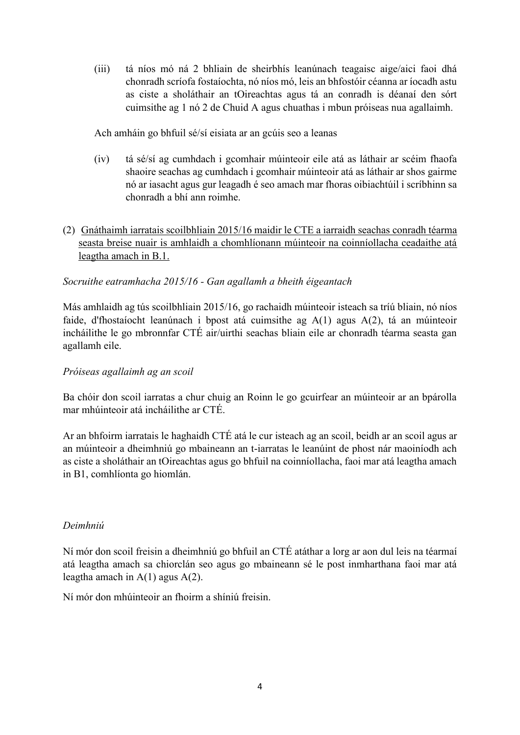(iii) tá níos mó ná 2 bhliain de sheirbhís leanúnach teagaisc aige/aici faoi dhá chonradh scríofa fostaíochta, nó níos mó, leis an bhfostóir céanna ar íocadh astu as ciste a sholáthair an tOireachtas agus tá an conradh is déanaí den sórt cuimsithe ag 1 nó 2 de Chuid A agus chuathas i mbun próiseas nua agallaimh.

Ach amháin go bhfuil sé/sí eisiata ar an gcúis seo a leanas

- (iv) tá sé/sí ag cumhdach i gcomhair múinteoir eile atá as láthair ar scéim fhaofa shaoire seachas ag cumhdach i gcomhair múinteoir atá as láthair ar shos gairme nó ar iasacht agus gur leagadh é seo amach mar fhoras oibiachtúil i scríbhinn sa chonradh a bhí ann roimhe.
- (2) Gnáthaimh iarratais scoilbhliain 2015/16 maidir le CTE a iarraidh seachas conradh téarma seasta breise nuair is amhlaidh a chomhlíonann múinteoir na coinníollacha ceadaithe atá leagtha amach in B.1.

### *Socruithe eatramhacha 2015/16 - Gan agallamh a bheith éigeantach*

Más amhlaidh ag tús scoilbhliain 2015/16, go rachaidh múinteoir isteach sa tríú bliain, nó níos faide, d'fhostaíocht leanúnach i bpost atá cuimsithe ag A(1) agus A(2), tá an múinteoir incháilithe le go mbronnfar CTÉ air/uirthi seachas bliain eile ar chonradh téarma seasta gan agallamh eile.

### *Próiseas agallaimh ag an scoil*

Ba chóir don scoil iarratas a chur chuig an Roinn le go gcuirfear an múinteoir ar an bpárolla mar mhúinteoir atá incháilithe ar CTÉ.

Ar an bhfoirm iarratais le haghaidh CTÉ atá le cur isteach ag an scoil, beidh ar an scoil agus ar an múinteoir a dheimhniú go mbaineann an t-iarratas le leanúint de phost nár maoiníodh ach as ciste a sholáthair an tOireachtas agus go bhfuil na coinníollacha, faoi mar atá leagtha amach in B1, comhlíonta go hiomlán.

### *Deimhniú*

Ní mór don scoil freisin a dheimhniú go bhfuil an CTÉ atáthar a lorg ar aon dul leis na téarmaí atá leagtha amach sa chiorclán seo agus go mbaineann sé le post inmharthana faoi mar atá leagtha amach in A(1) agus A(2).

Ní mór don mhúinteoir an fhoirm a shíniú freisin.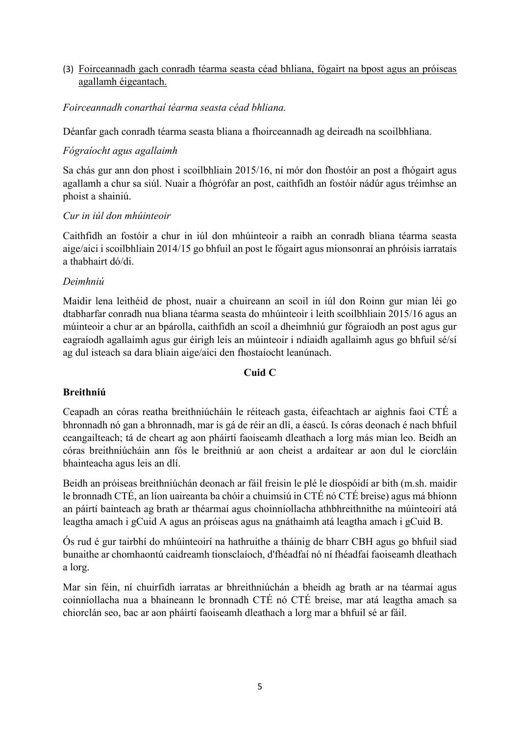### (3) Foirceannadh gach conradh téarma seasta céad bhliana, fógairt na bpost agus an próiseas agallamh éigeantach.

### *Foirceannadh conarthaí téarma seasta céad bhliana.*

Déanfar gach conradh téarma seasta bliana a fhoirceannadh ag deireadh na scoilbhliana.

## *Fógraíocht agus agallaimh*

Sa chás gur ann don phost i scoilbhliain 2015/16, ní mór don fhostóir an post a fhógairt agus agallamh a chur sa siúl. Nuair a fhógrófar an post, caithfidh an fostóir nádúr agus tréimhse an phoist a shainiú.

### *Cur in iúl don mhúinteoir*

Caithfidh an fostóir a chur in iúl don mhúinteoir a raibh an conradh bliana téarma seasta aige/aici i scoilbhliain 2014/15 go bhfuil an post le fógairt agus mionsonraí an phróisis iarratais a thabhairt dó/di.

### *Deimhniú*

Maidir lena leithéid de phost, nuair a chuireann an scoil in iúl don Roinn gur mian léi go dtabharfar conradh nua bliana téarma seasta do mhúinteoir i leith scoilbhliain 2015/16 agus an múinteoir a chur ar an bpárolla, caithfidh an scoil a dheimhniú gur fógraíodh an post agus gur eagraíodh agallaimh agus gur éirigh leis an múinteoir i ndiaidh agallaimh agus go bhfuil sé/sí ag dul isteach sa dara bliain aige/aici den fhostaíocht leanúnach.

### **Cuid C**

# **Breithniú**

Ceapadh an córas reatha breithniúcháin le réiteach gasta, éifeachtach ar aighnis faoi CTÉ a bhronnadh nó gan a bhronnadh, mar is gá de réir an dlí, a éascú. Is córas deonach é nach bhfuil ceangailteach; tá de cheart ag aon pháirtí faoiseamh dleathach a lorg más mian leo. Beidh an córas breithniúcháin ann fós le breithniú ar aon cheist a ardaítear ar aon dul le ciorcláin bhainteacha agus leis an dlí.

Beidh an próiseas breithniúchán deonach ar fáil freisin le plé le díospóidí ar bith (m.sh. maidir le bronnadh CTÉ, an líon uaireanta ba chóir a chuimsiú in CTÉ nó CTÉ breise) agus má bhíonn an páirtí bainteach ag brath ar théarmaí agus choinníollacha athbhreithnithe na múinteoirí atá leagtha amach i gCuid A agus an próiseas agus na gnáthaimh atá leagtha amach i gCuid B.

Ós rud é gur tairbhí do mhúinteoirí na hathruithe a tháinig de bharr CBH agus go bhfuil siad bunaithe ar chomhaontú caidreamh tionsclaíoch, d'fhéadfaí nó ní fhéadfaí faoiseamh dleathach a lorg.

Mar sin féin, ní chuirfidh iarratas ar bhreithniúchán a bheidh ag brath ar na téarmaí agus coinníollacha nua a bhaineann le bronnadh CTÉ nó CTÉ breise, mar atá leagtha amach sa chiorclán seo, bac ar aon pháirtí faoiseamh dleathach a lorg mar a bhfuil sé ar fáil.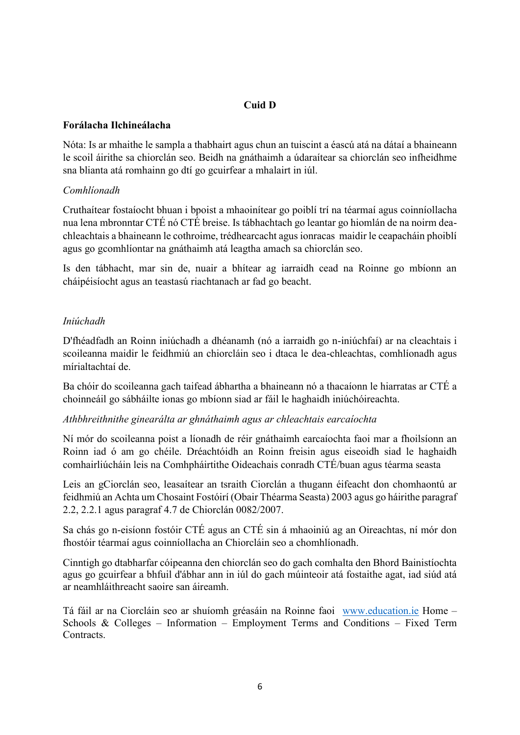# **Cuid D**

### **Forálacha Ilchineálacha**

Nóta: Is ar mhaithe le sampla a thabhairt agus chun an tuiscint a éascú atá na dátaí a bhaineann le scoil áirithe sa chiorclán seo. Beidh na gnáthaimh a údaraítear sa chiorclán seo infheidhme sna blianta atá romhainn go dtí go gcuirfear a mhalairt in iúl.

#### *Comhlíonadh*

Cruthaítear fostaíocht bhuan i bpoist a mhaoinítear go poiblí trí na téarmaí agus coinníollacha nua lena mbronntar CTÉ nó CTÉ breise. Is tábhachtach go leantar go hiomlán de na noirm deachleachtais a bhaineann le cothroime, trédhearcacht agus ionracas maidir le ceapacháin phoiblí agus go gcomhlíontar na gnáthaimh atá leagtha amach sa chiorclán seo.

Is den tábhacht, mar sin de, nuair a bhítear ag iarraidh cead na Roinne go mbíonn an cháipéisíocht agus an teastasú riachtanach ar fad go beacht.

### *Iniúchadh*

D'fhéadfadh an Roinn iniúchadh a dhéanamh (nó a iarraidh go n-iniúchfaí) ar na cleachtais i scoileanna maidir le feidhmiú an chiorcláin seo i dtaca le dea-chleachtas, comhlíonadh agus mírialtachtaí de.

Ba chóir do scoileanna gach taifead ábhartha a bhaineann nó a thacaíonn le hiarratas ar CTÉ a choinneáil go sábháilte ionas go mbíonn siad ar fáil le haghaidh iniúchóireachta.

#### *Athbhreithnithe ginearálta ar ghnáthaimh agus ar chleachtais earcaíochta*

Ní mór do scoileanna poist a líonadh de réir gnáthaimh earcaíochta faoi mar a fhoilsíonn an Roinn iad ó am go chéile. Dréachtóidh an Roinn freisin agus eiseoidh siad le haghaidh comhairliúcháin leis na Comhpháirtithe Oideachais conradh CTÉ/buan agus téarma seasta

Leis an gCiorclán seo, leasaítear an tsraith Ciorclán a thugann éifeacht don chomhaontú ar feidhmiú an Achta um Chosaint Fostóirí (Obair Théarma Seasta) 2003 agus go háirithe paragraf 2.2, 2.2.1 agus paragraf 4.7 de Chiorclán 0082/2007.

Sa chás go n-eisíonn fostóir CTÉ agus an CTÉ sin á mhaoiniú ag an Oireachtas, ní mór don fhostóir téarmaí agus coinníollacha an Chiorcláin seo a chomhlíonadh.

Cinntigh go dtabharfar cóipeanna den chiorclán seo do gach comhalta den Bhord Bainistíochta agus go gcuirfear a bhfuil d'ábhar ann in iúl do gach múinteoir atá fostaithe agat, iad siúd atá ar neamhláithreacht saoire san áireamh.

Tá fáil ar na Ciorcláin seo ar shuíomh gréasáin na Roinne faoi [www.education.ie](http://www.education.ie/) Home – Schools & Colleges – Information – Employment Terms and Conditions – Fixed Term **Contracts**